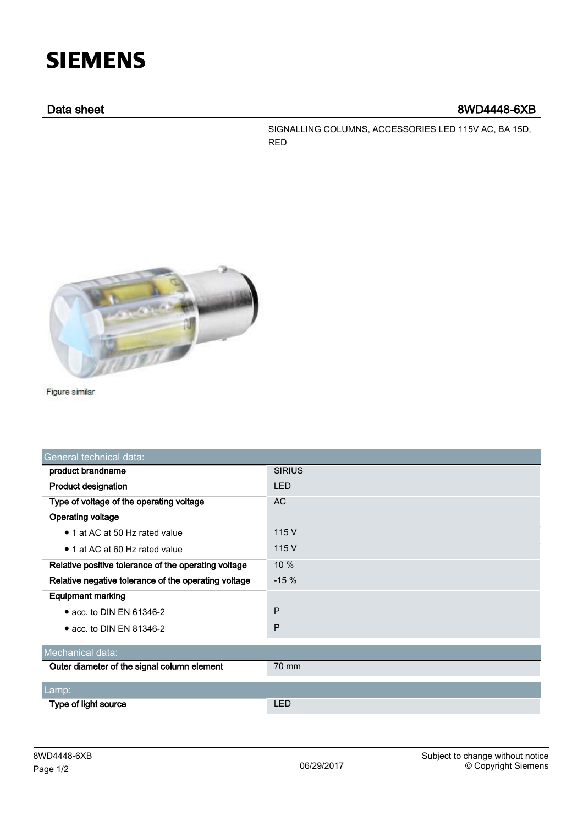# **SIEMENS**

## Data sheet 8WD4448-6XB

SIGNALLING COLUMNS, ACCESSORIES LED 115V AC, BA 15D, RED



Figure similar

| General technical data:                              |               |
|------------------------------------------------------|---------------|
| product brandname                                    | <b>SIRIUS</b> |
| <b>Product designation</b>                           | <b>LED</b>    |
| Type of voltage of the operating voltage             | <b>AC</b>     |
| <b>Operating voltage</b>                             |               |
| • 1 at AC at 50 Hz rated value                       | 115 V         |
| • 1 at AC at 60 Hz rated value                       | 115 V         |
| Relative positive tolerance of the operating voltage | 10%           |
| Relative negative tolerance of the operating voltage | $-15%$        |
| <b>Equipment marking</b>                             |               |
| $\bullet$ acc. to DIN EN 61346-2                     | P             |
| $\bullet$ acc. to DIN EN 81346-2                     | P             |
| Mechanical data:                                     |               |
| Outer diameter of the signal column element          | 70 mm         |
|                                                      |               |
| Lamp:                                                |               |
| Type of light source                                 | <b>LED</b>    |
|                                                      |               |